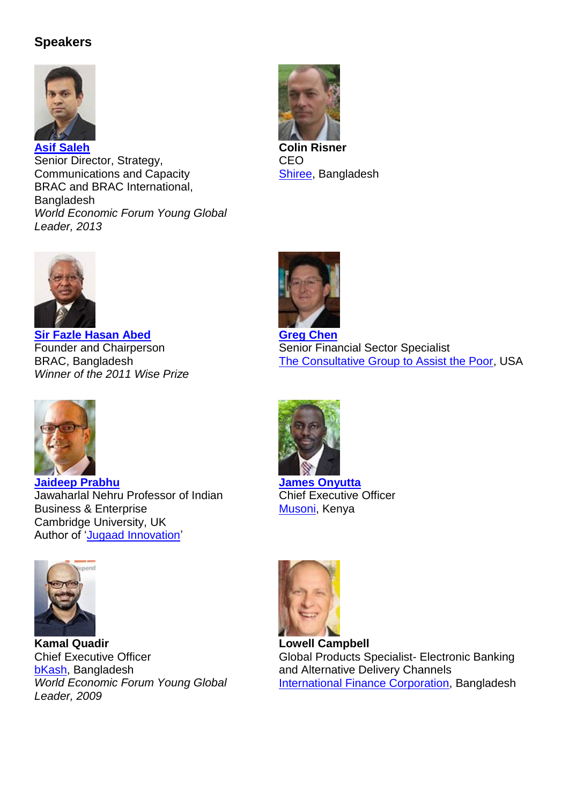## **Speakers**



Senior Director, Strategy, Communications and Capacity BRAC and BRAC International, Bangladesh *World Economic Forum Young Global Leader, 2013*





**[Sir Fazle Hasan Abed](http://www.brac.net/content/leadership-fazle-hasan-abed-founder-chairperson#.UuXuWNLxLIU)** Founder and Chairperson BRAC, Bangladesh *Winner of the 2011 Wise Prize*



**[Jaideep Prabhu](http://www.jbs.cam.ac.uk/faculty-research/faculty-a-z/jaideep-prabhu/)** Jawaharlal Nehru Professor of Indian Business & Enterprise Cambridge University, UK Author of ['Jugaad Innovation'](http://jugaadinnovation.com/)



**Kamal Quadir** Chief Executive Officer [bKash,](http://www.bkash.com/) Bangladesh *World Economic Forum Young Global Leader, 2009*



**[Greg Chen](http://www.cgap.org/about/people/greg-chen)** Senior Financial Sector Specialist [The Consultative Group to Assist the Poor,](http://www.cgap.org/) USA



**[James Onyutta](http://www.musoni.co.ke/index.php/musoni-staff)** Chief Executive Officer [Musoni,](http://www.musoni.co.ke/) Kenya



**Lowell Campbell** Global Products Specialist- Electronic Banking and Alternative Delivery Channels [International Finance Corporation,](http://www.ifc.org/) Bangladesh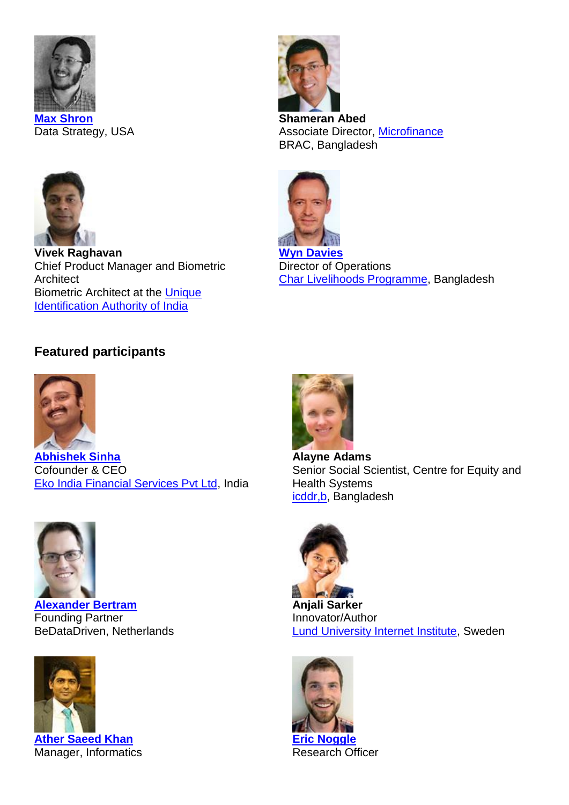

**[Max Shron](http://shron.net/about)** Data Strategy, USA



**Shameran Abed** Associate Director, [Microfinance](http://microfinance.brac.net/) BRAC, Bangladesh



**Vivek Raghavan** Chief Product Manager and Biometric **Architect** Biometric Architect at the [Unique](http://www.uidai.gov.in/)  [Identification Authority of India](http://www.uidai.gov.in/)



**[Wyn Davies](http://www.clp-bangladesh.org/team_leader.php?id=14)** Director of Operations [Char Livelihoods Programme,](http://www.clp-bangladesh.org/) Bangladesh

## **Featured participants**



**[Abhishek Sinha](http://eko.co.in/about-us/team/)** Cofounder & CEO [Eko India Financial Services Pvt Ltd,](http://www.eko.co.in/) India



**[Alexander Bertram](http://bedatadriven.com/#who-we-are)** Founding Partner BeDataDriven, Netherlands



**[Ather Saeed Khan](http://www.ihsinformatics.com/people/ather-saeed)** Manager, Informatics



**Alayne Adams** Senior Social Scientist, Centre for Equity and Health Systems [icddr,b,](http://www.icddrb.org/) Bangladesh



**Anjali Sarker** Innovator/Author **[Lund University Internet Institute,](http://luii.lu.se/) Sweden** 



**[Eric Noggle](http://microfinanceopportunities.org/people/staff/baily-butzberger/)** Research Officer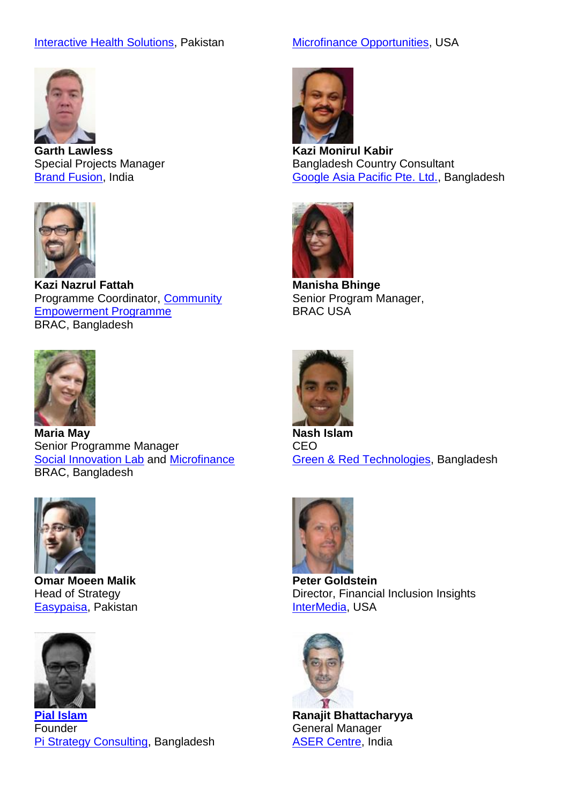## [Interactive Health Solutions,](http://www.ihsinformatics.com/) Pakistan [Microfinance Opportunities,](http://microfinanceopportunities.org/) USA



**Garth Lawless** Special Projects Manager [Brand Fusion,](http://www.brandfusion-africa.com/) India



**Kazi Nazrul Fattah** Programme Coordinator, Community [Empowerment Programme](http://cep.brac.net/) BRAC, Bangladesh



**Maria May** Senior Programme Manager **[Social Innovation Lab](http://www.brac.net/content/social-innovation-lab) and [Microfinance](http://microfinance.brac.net/)** BRAC, Bangladesh



**Omar Moeen Malik** Head of Strategy [Easypaisa,](http://www.easypaisa.com.pk/) Pakistan



**[Pial Islam](http://www.pistrategy.org/founder.php) Founder** [Pi Strategy Consulting,](http://www.pistrategy.org/index.php) Bangladesh



**Kazi Monirul Kabir** Bangladesh Country Consultant [Google Asia Pacific Pte. Ltd.,](http://www.google.com/) Bangladesh



**Manisha Bhinge** Senior Program Manager, BRAC USA



**Nash Islam** CEO **[Green & Red Technologies,](http://www.green-red.com/) Bangladesh** 



**Peter Goldstein** Director, Financial Inclusion Insights [InterMedia,](http://www.intermedia.org/) USA



**Ranajit Bhattacharyya** General Manager [ASER Centre,](http://www.asercentre.org/) India